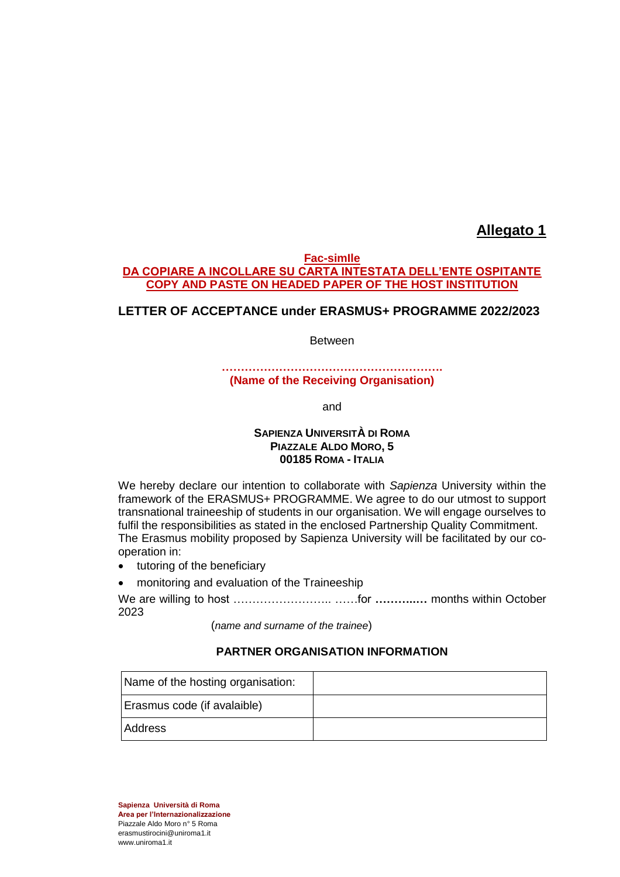## **Allegato 1**

### **Fac-simIle DA COPIARE A INCOLLARE SU CARTA INTESTATA DELL'ENTE OSPITANTE COPY AND PASTE ON HEADED PAPER OF THE HOST INSTITUTION**

## **LETTER OF ACCEPTANCE under ERASMUS+ PROGRAMME 2022/2023**

Between

### **…………………………………………………. (Name of the Receiving Organisation)**

and

## **SAPIENZA UNIVERSITÀ DI ROMA PIAZZALE ALDO MORO, 5 00185 ROMA - ITALIA**

We hereby declare our intention to collaborate with *Sapienza* University within the framework of the ERASMUS+ PROGRAMME. We agree to do our utmost to support transnational traineeship of students in our organisation. We will engage ourselves to fulfil the responsibilities as stated in the enclosed Partnership Quality Commitment. The Erasmus mobility proposed by Sapienza University Will be facilitated by our cooperation in:

- tutoring of the beneficiary
- monitoring and evaluation of the Traineeship

We are willing to host …………………….. ……for **………..…** months within October 2023

(*name and surname of the trainee*)

### **PARTNER ORGANISATION INFORMATION**

| Name of the hosting organisation: |  |
|-----------------------------------|--|
| Erasmus code (if avalaible)       |  |
| <b>Address</b>                    |  |

**Sapienza Università di Roma Area per l'Internazionalizzazione** Piazzale Aldo Moro n° 5 Roma erasmustirocini@uniroma1.it www.uniroma1.it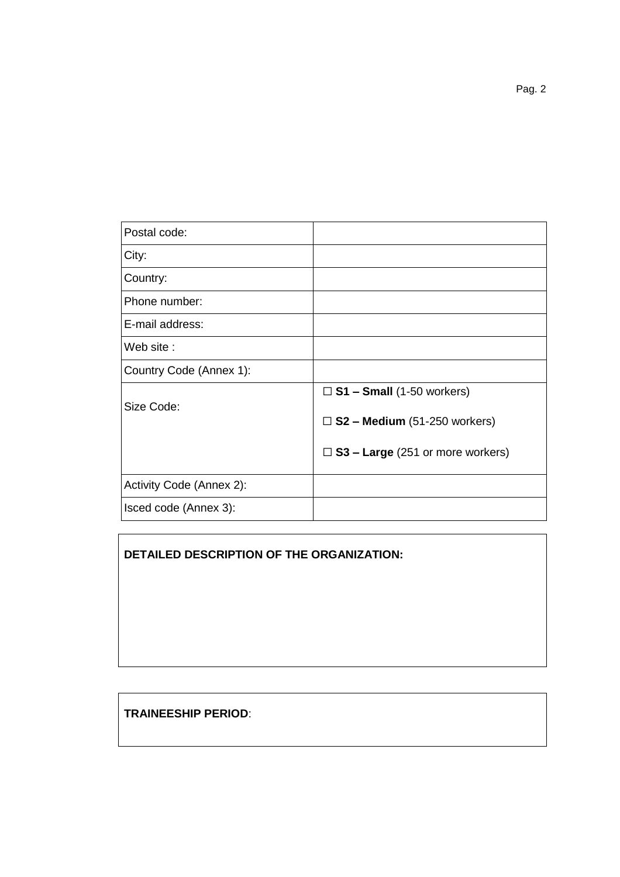| Postal code:             |                                            |
|--------------------------|--------------------------------------------|
| City:                    |                                            |
| Country:                 |                                            |
| Phone number:            |                                            |
| E-mail address:          |                                            |
| Web site:                |                                            |
| Country Code (Annex 1):  |                                            |
|                          | $\square$ S1 – Small (1-50 workers)        |
| Size Code:               | $\square$ S2 – Medium (51-250 workers)     |
|                          | $\square$ S3 – Large (251 or more workers) |
| Activity Code (Annex 2): |                                            |
| Isced code (Annex 3):    |                                            |

# **DETAILED DESCRIPTION OF THE ORGANIZATION:**

## **TRAINEESHIP PERIOD**: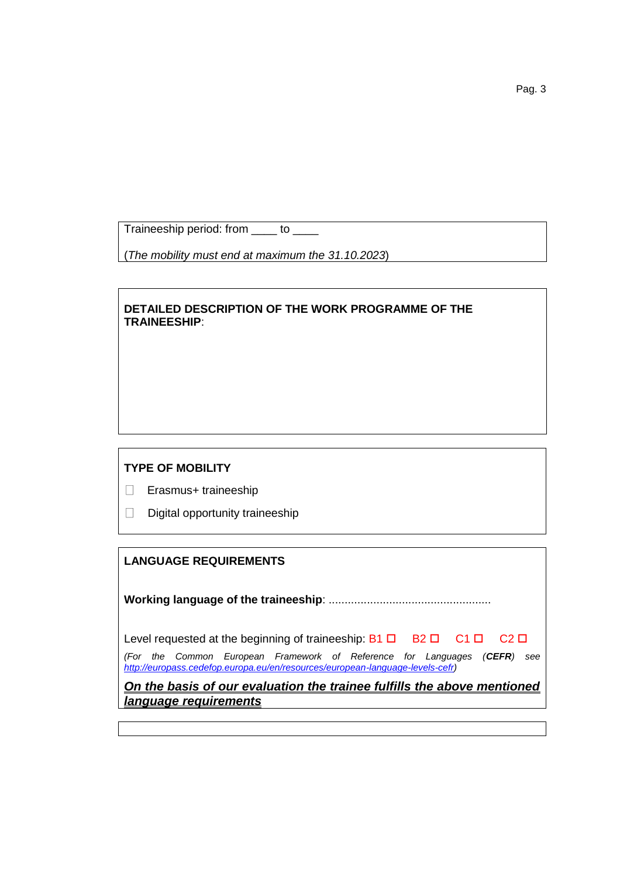Traineeship period: from \_\_\_\_ to \_\_\_\_

(*The mobility must end at maximum the 31.10.2023*)

## **DETAILED DESCRIPTION OF THE WORK PROGRAMME OF THE TRAINEESHIP**:

## **TYPE OF MOBILITY**

Erasmus+ traineeship

 $\Box$  Digital opportunity traineeship

## **LANGUAGE REQUIREMENTS**

**Working language of the traineeship**: ...................................................

| Level requested at the beginning of traineeship: $B1 \Box$ $B2 \Box$ $C1 \Box$ $C2 \Box$                                                                  |  |  |  |  |  |
|-----------------------------------------------------------------------------------------------------------------------------------------------------------|--|--|--|--|--|
| (For the Common European Framework of Reference for Languages (CEFR) see<br>http://europass.cedefop.europa.eu/en/resources/european-language-levels-cefr) |  |  |  |  |  |

*On the basis of our evaluation the trainee fulfills the above mentioned language requirements*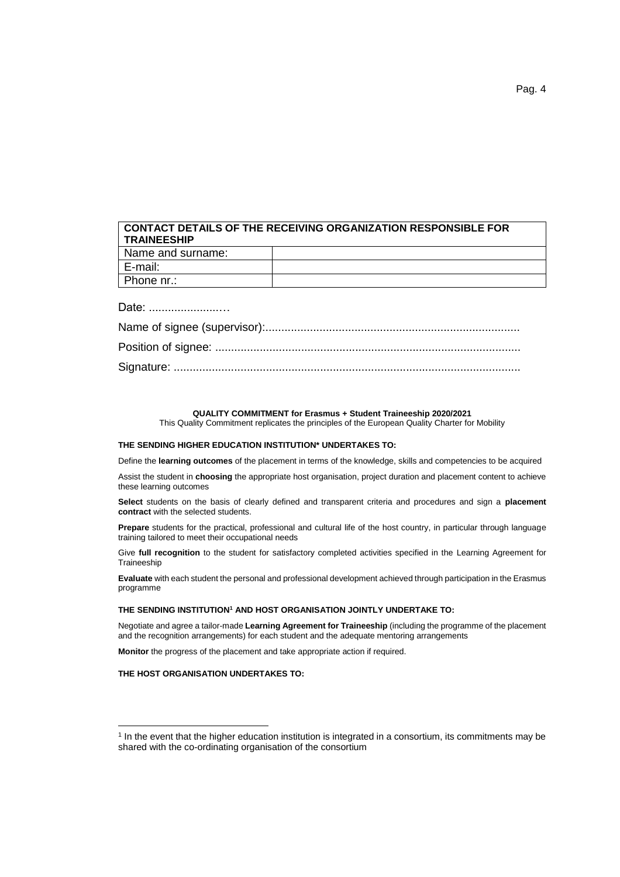# **CONTACT DETAILS OF THE RECEIVING ORGANIZATION RESPONSIBLE FOR TRAINEESHIP**

| Name and surname: |  |
|-------------------|--|
| E-mail:           |  |
| Phone nr.:        |  |

Date: ......................…

#### **QUALITY COMMITMENT for Erasmus + Student Traineeship 2020/2021**

This Quality Commitment replicates the principles of the European Quality Charter for Mobility

#### **THE SENDING HIGHER EDUCATION INSTITUTION\* UNDERTAKES TO:**

Define the **learning outcomes** of the placement in terms of the knowledge, skills and competencies to be acquired

Assist the student in **choosing** the appropriate host organisation, project duration and placement content to achieve these learning outcomes

**Select** students on the basis of clearly defined and transparent criteria and procedures and sign a **placement contract** with the selected students.

**Prepare** students for the practical, professional and cultural life of the host country, in particular through language training tailored to meet their occupational needs

Give **full recognition** to the student for satisfactory completed activities specified in the Learning Agreement for **Traineeship** 

**Evaluate** with each student the personal and professional development achieved through participation in the Erasmus programme

#### **THE SENDING INSTITUTION<sup>1</sup> AND HOST ORGANISATION JOINTLY UNDERTAKE TO:**

Negotiate and agree a tailor-made **Learning Agreement for Traineeship** (including the programme of the placement and the recognition arrangements) for each student and the adequate mentoring arrangements

**Monitor** the progress of the placement and take appropriate action if required.

#### **THE HOST ORGANISATION UNDERTAKES TO:**

 $\overline{a}$ 

<sup>&</sup>lt;sup>1</sup> In the event that the higher education institution is integrated in a consortium, its commitments may be shared with the co-ordinating organisation of the consortium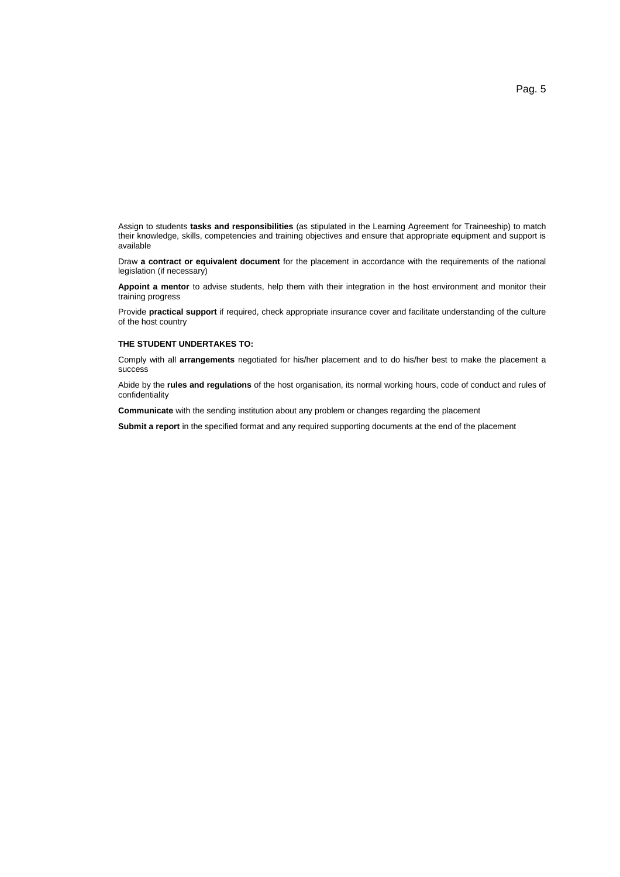Assign to students **tasks and responsibilities** (as stipulated in the Learning Agreement for Traineeship) to match their knowledge, skills, competencies and training objectives and ensure that appropriate equipment and support is available

Draw **a contract or equivalent document** for the placement in accordance with the requirements of the national legislation (if necessary)

**Appoint a mentor** to advise students, help them with their integration in the host environment and monitor their training progress

Provide **practical support** if required, check appropriate insurance cover and facilitate understanding of the culture of the host country

#### **THE STUDENT UNDERTAKES TO:**

Comply with all **arrangements** negotiated for his/her placement and to do his/her best to make the placement a success

Abide by the **rules and regulations** of the host organisation, its normal working hours, code of conduct and rules of confidentiality

**Communicate** with the sending institution about any problem or changes regarding the placement

**Submit a report** in the specified format and any required supporting documents at the end of the placement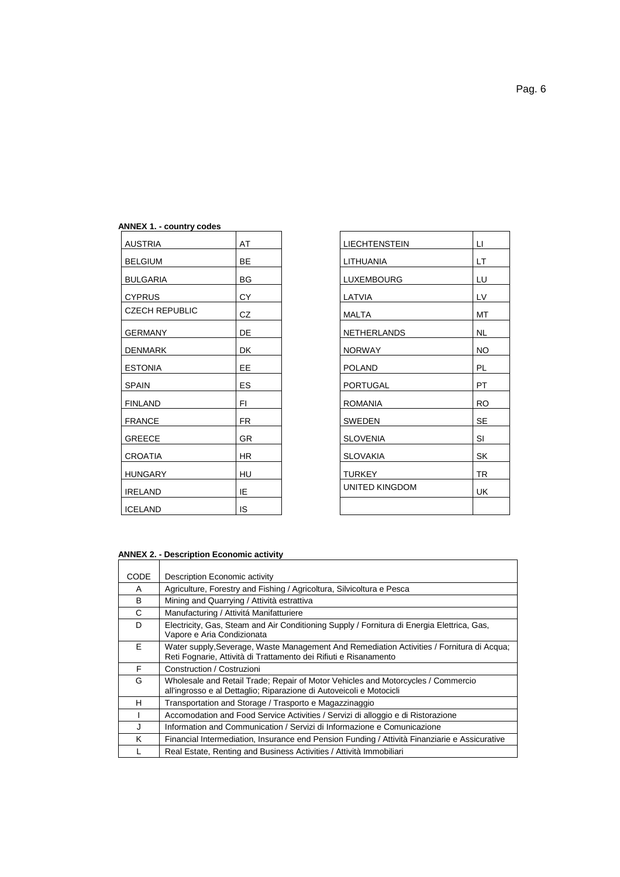### **ANNEX 1. - country codes**

| <b>AUSTRIA</b>        | AT        | <b>LIECHTENSTEIN</b>  | LI.       |
|-----------------------|-----------|-----------------------|-----------|
| <b>BELGIUM</b>        | <b>BE</b> | <b>LITHUANIA</b>      | LT.       |
| <b>BULGARIA</b>       | BG        | <b>LUXEMBOURG</b>     | LU        |
| <b>CYPRUS</b>         | <b>CY</b> | LATVIA                | LV        |
| <b>CZECH REPUBLIC</b> | CZ.       | <b>MALTA</b>          | MT        |
| <b>GERMANY</b>        | DE        | <b>NETHERLANDS</b>    | <b>NL</b> |
| <b>DENMARK</b>        | <b>DK</b> | <b>NORWAY</b>         | <b>NO</b> |
| <b>ESTONIA</b>        | <b>EE</b> | <b>POLAND</b>         | <b>PL</b> |
| <b>SPAIN</b>          | ES.       | PORTUGAL              | PT.       |
| <b>FINLAND</b>        | FI        | <b>ROMANIA</b>        | <b>RO</b> |
| <b>FRANCE</b>         | <b>FR</b> | <b>SWEDEN</b>         | <b>SE</b> |
| <b>GREECE</b>         | <b>GR</b> | <b>SLOVENIA</b>       | SI        |
| <b>CROATIA</b>        | <b>HR</b> | <b>SLOVAKIA</b>       | SK        |
| <b>HUNGARY</b>        | HU        | <b>TURKEY</b>         | <b>TR</b> |
| <b>IRELAND</b>        | IE        | <b>UNITED KINGDOM</b> | UK        |
| <b>ICELAND</b>        | <b>IS</b> |                       |           |

| <b>LIECHTENSTEIN</b>  | Ц         |
|-----------------------|-----------|
| LITHUANIA             | LT        |
| LUXEMBOURG            | LU        |
| LATVIA                | LV        |
| <b>MALTA</b>          | MT        |
| <b>NETHERLANDS</b>    | <b>NL</b> |
| <b>NORWAY</b>         | <b>NO</b> |
| <b>POLAND</b>         | PL        |
| <b>PORTUGAL</b>       | PT        |
| <b>ROMANIA</b>        | <b>RO</b> |
| <b>SWEDEN</b>         | SE        |
| <b>SLOVENIA</b>       | SI        |
| <b>SLOVAKIA</b>       | SK        |
| <b>TURKEY</b>         | <b>TR</b> |
| <b>UNITED KINGDOM</b> | UK        |
|                       |           |
|                       |           |

# **ANNEX 2. - Description Economic activity**

| <b>CODE</b> | Description Economic activity                                                                                                                                 |
|-------------|---------------------------------------------------------------------------------------------------------------------------------------------------------------|
| A           | Agriculture, Forestry and Fishing / Agricoltura, Silvicoltura e Pesca                                                                                         |
| B           | Mining and Quarrying / Attività estrattiva                                                                                                                    |
| C           | Manufacturing / Attivitá Manifatturiere                                                                                                                       |
| D           | Electricity, Gas, Steam and Air Conditioning Supply / Fornitura di Energia Elettrica, Gas,<br>Vapore e Aria Condizionata                                      |
| F.          | Water supply, Severage, Waste Management And Remediation Activities / Fornitura di Acqua;<br>Reti Fognarie, Attività di Trattamento dei Rifiuti e Risanamento |
| F           | Construction / Costruzioni                                                                                                                                    |
| G           | Wholesale and Retail Trade; Repair of Motor Vehicles and Motorcycles / Commercio<br>all'ingrosso e al Dettaglio; Riparazione di Autoveicoli e Motocicli       |
| н           | Transportation and Storage / Trasporto e Magazzinaggio                                                                                                        |
|             | Accomodation and Food Service Activities / Servizi di alloggio e di Ristorazione                                                                              |
| J           | Information and Communication / Servizi di Informazione e Comunicazione                                                                                       |
| ĸ           | Financial Intermediation, Insurance end Pension Funding / Attività Finanziarie e Assicurative                                                                 |
|             | Real Estate, Renting and Business Activities / Attività Immobiliari                                                                                           |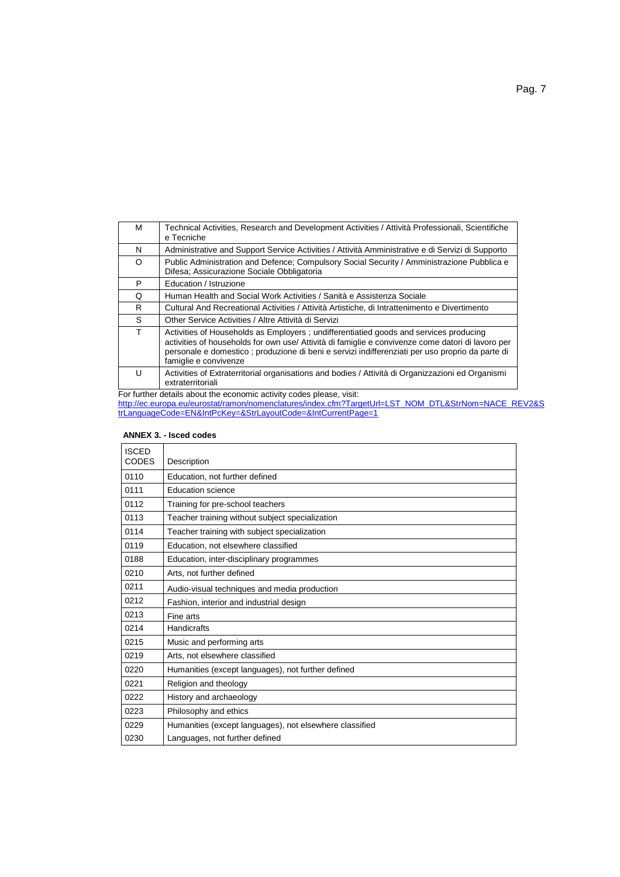| м        | Technical Activities, Research and Development Activities / Attività Professionali, Scientifiche<br>e Tecniche                                                                                                                                                                                                           |
|----------|--------------------------------------------------------------------------------------------------------------------------------------------------------------------------------------------------------------------------------------------------------------------------------------------------------------------------|
| N        | Administrative and Support Service Activities / Attività Amministrative e di Servizi di Supporto                                                                                                                                                                                                                         |
| $\Omega$ | Public Administration and Defence; Compulsory Social Security / Amministrazione Pubblica e<br>Difesa; Assicurazione Sociale Obbligatoria                                                                                                                                                                                 |
| P        | Education / Istruzione                                                                                                                                                                                                                                                                                                   |
| Q        | Human Health and Social Work Activities / Sanità e Assistenza Sociale                                                                                                                                                                                                                                                    |
| R        | Cultural And Recreational Activities / Attività Artistiche, di Intrattenimento e Divertimento                                                                                                                                                                                                                            |
| S.       | Other Service Activities / Altre Attività di Servizi                                                                                                                                                                                                                                                                     |
| т        | Activities of Households as Employers ; undifferentiatied goods and services producing<br>activities of households for own use/ Attività di famiglie e convivenze come datori di lavoro per<br>personale e domestico ; produzione di beni e servizi indifferenziati per uso proprio da parte di<br>famiglie e convivenze |
| U        | Activities of Extraterritorial organisations and bodies / Attività di Organizzazioni ed Organismi<br>extraterritoriali                                                                                                                                                                                                   |

For further details about the economic activity codes please, visit: [http://ec.europa.eu/eurostat/ramon/nomenclatures/index.cfm?TargetUrl=LST\\_NOM\\_DTL&StrNom=NACE\\_REV2&S](http://ec.europa.eu/eurostat/ramon/nomenclatures/index.cfm?TargetUrl=LST_NOM_DTL&StrNom=NACE_REV2&StrLanguageCode=EN&IntPcKey=&StrLayoutCode=&IntCurrentPage=1) [trLanguageCode=EN&IntPcKey=&StrLayoutCode=&IntCurrentPage=1](http://ec.europa.eu/eurostat/ramon/nomenclatures/index.cfm?TargetUrl=LST_NOM_DTL&StrNom=NACE_REV2&StrLanguageCode=EN&IntPcKey=&StrLayoutCode=&IntCurrentPage=1)

| <b>ISCED</b><br><b>CODES</b> | Description                                             |
|------------------------------|---------------------------------------------------------|
| 0110                         | Education, not further defined                          |
| 0111                         | Education science                                       |
| 0112                         | Training for pre-school teachers                        |
| 0113                         | Teacher training without subject specialization         |
| 0114                         | Teacher training with subject specialization            |
| 0119                         | Education, not elsewhere classified                     |
| 0188                         | Education, inter-disciplinary programmes                |
| 0210                         | Arts, not further defined                               |
| 0211                         | Audio-visual techniques and media production            |
| 0212                         | Fashion, interior and industrial design                 |
| 0213                         | Fine arts                                               |
| 0214                         | <b>Handicrafts</b>                                      |
| 0215                         | Music and performing arts                               |
| 0219                         | Arts, not elsewhere classified                          |
| 0220                         | Humanities (except languages), not further defined      |
| 0221                         | Religion and theology                                   |
| 0222                         | History and archaeology                                 |
| 0223                         | Philosophy and ethics                                   |
| 0229                         | Humanities (except languages), not elsewhere classified |
| 0230                         | Languages, not further defined                          |

### **ANNEX 3. - Isced codes**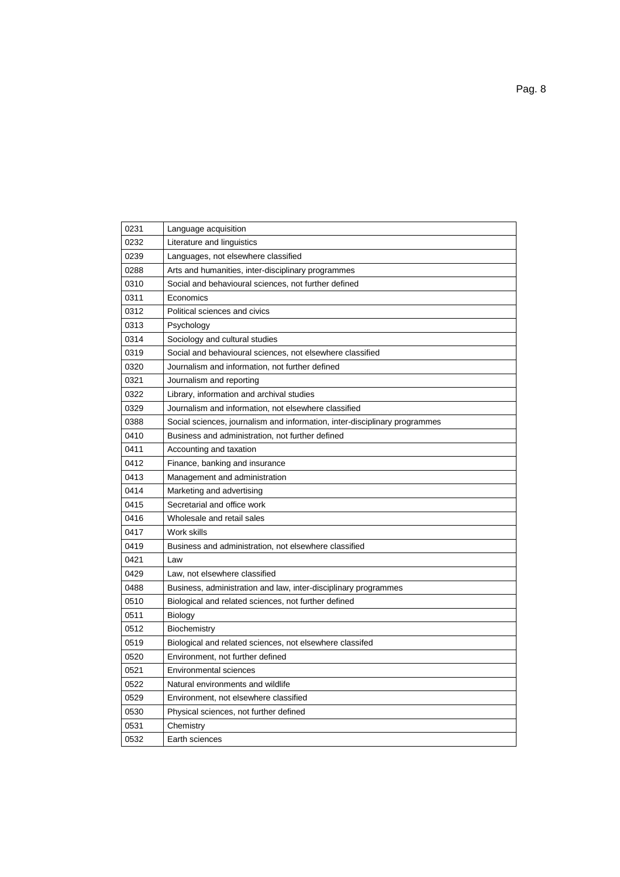| 0231 | Language acquisition                                                       |
|------|----------------------------------------------------------------------------|
| 0232 | Literature and linguistics                                                 |
| 0239 | Languages, not elsewhere classified                                        |
| 0288 | Arts and humanities, inter-disciplinary programmes                         |
| 0310 | Social and behavioural sciences, not further defined                       |
| 0311 | Economics                                                                  |
| 0312 | Political sciences and civics                                              |
| 0313 | Psychology                                                                 |
| 0314 | Sociology and cultural studies                                             |
| 0319 | Social and behavioural sciences, not elsewhere classified                  |
| 0320 | Journalism and information, not further defined                            |
| 0321 | Journalism and reporting                                                   |
| 0322 | Library, information and archival studies                                  |
| 0329 | Journalism and information, not elsewhere classified                       |
| 0388 | Social sciences, journalism and information, inter-disciplinary programmes |
| 0410 | Business and administration, not further defined                           |
| 0411 | Accounting and taxation                                                    |
| 0412 | Finance, banking and insurance                                             |
| 0413 | Management and administration                                              |
| 0414 | Marketing and advertising                                                  |
| 0415 | Secretarial and office work                                                |
| 0416 | Wholesale and retail sales                                                 |
| 0417 | Work skills                                                                |
| 0419 | Business and administration, not elsewhere classified                      |
| 0421 | Law                                                                        |
| 0429 | Law, not elsewhere classified                                              |
| 0488 | Business, administration and law, inter-disciplinary programmes            |
| 0510 | Biological and related sciences, not further defined                       |
| 0511 | Biology                                                                    |
| 0512 | Biochemistry                                                               |
| 0519 | Biological and related sciences, not elsewhere classifed                   |
| 0520 | Environment, not further defined                                           |
| 0521 | <b>Environmental sciences</b>                                              |
| 0522 | Natural environments and wildlife                                          |
| 0529 | Environment, not elsewhere classified                                      |
| 0530 | Physical sciences, not further defined                                     |
| 0531 | Chemistry                                                                  |
| 0532 | Earth sciences                                                             |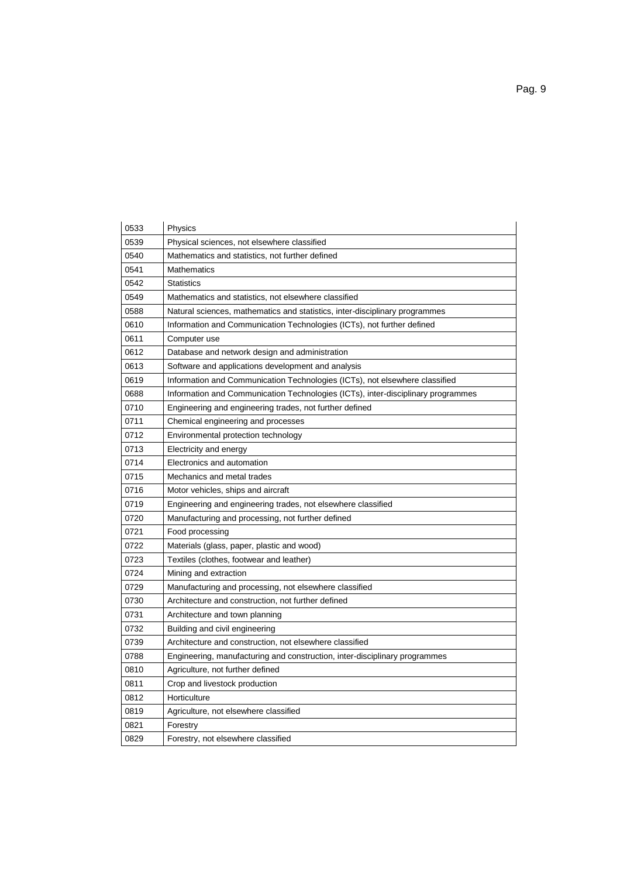| 0533 | Physics                                                                          |
|------|----------------------------------------------------------------------------------|
| 0539 | Physical sciences, not elsewhere classified                                      |
| 0540 | Mathematics and statistics, not further defined                                  |
| 0541 | Mathematics                                                                      |
| 0542 | <b>Statistics</b>                                                                |
| 0549 | Mathematics and statistics, not elsewhere classified                             |
| 0588 | Natural sciences, mathematics and statistics, inter-disciplinary programmes      |
| 0610 | Information and Communication Technologies (ICTs), not further defined           |
| 0611 | Computer use                                                                     |
| 0612 | Database and network design and administration                                   |
| 0613 | Software and applications development and analysis                               |
| 0619 | Information and Communication Technologies (ICTs), not elsewhere classified      |
| 0688 | Information and Communication Technologies (ICTs), inter-disciplinary programmes |
| 0710 | Engineering and engineering trades, not further defined                          |
| 0711 | Chemical engineering and processes                                               |
| 0712 | Environmental protection technology                                              |
| 0713 | Electricity and energy                                                           |
| 0714 | Electronics and automation                                                       |
| 0715 | Mechanics and metal trades                                                       |
| 0716 | Motor vehicles, ships and aircraft                                               |
| 0719 | Engineering and engineering trades, not elsewhere classified                     |
| 0720 | Manufacturing and processing, not further defined                                |
| 0721 | Food processing                                                                  |
| 0722 | Materials (glass, paper, plastic and wood)                                       |
| 0723 | Textiles (clothes, footwear and leather)                                         |
| 0724 | Mining and extraction                                                            |
| 0729 | Manufacturing and processing, not elsewhere classified                           |
| 0730 | Architecture and construction, not further defined                               |
| 0731 | Architecture and town planning                                                   |
| 0732 | Building and civil engineering                                                   |
| 0739 | Architecture and construction, not elsewhere classified                          |
| 0788 | Engineering, manufacturing and construction, inter-disciplinary programmes       |
| 0810 | Agriculture, not further defined                                                 |
| 0811 | Crop and livestock production                                                    |
| 0812 | Horticulture                                                                     |
| 0819 | Agriculture, not elsewhere classified                                            |
| 0821 | Forestry                                                                         |
| 0829 | Forestry, not elsewhere classified                                               |